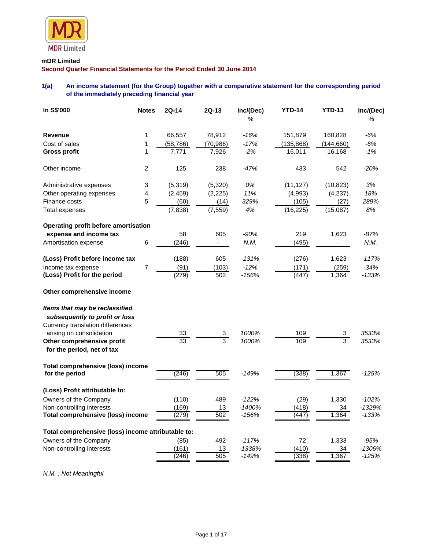

# **mDR Limited**

**Second Quarter Financial Statements for the Period Ended 30 June 2014**

# **1(a) An income statement (for the Group) together with a comparative statement for the corresponding period of the immediately preceding financial year**

| In S\$'000                                                       | <b>Notes</b>   | <b>2Q-14</b>    | $2Q-13$                      | Inc/(Dec)<br>% | <b>YTD-14</b> | <b>YTD-13</b>            | Inc/(Dec)<br>% |
|------------------------------------------------------------------|----------------|-----------------|------------------------------|----------------|---------------|--------------------------|----------------|
| <b>Revenue</b>                                                   | 1              | 66,557          | 78,912                       | $-16%$         | 151,879       | 160,828                  | $-6%$          |
| Cost of sales                                                    | 1              | (58,786)        | (70,986)                     | $-17%$         | (135, 868)    | (144,660)                | $-6%$          |
| <b>Gross profit</b>                                              | 1              | 7.771           | 7,926                        | $-2%$          | 16,011        | 16,168                   | $-1%$          |
| Other income                                                     | $\overline{2}$ | 125             | 238                          | $-47%$         | 433           | 542                      | $-20%$         |
| Administrative expenses                                          | 3              | (5,319)         | (5,320)                      | 0%             | (11, 127)     | (10, 823)                | 3%             |
| Other operating expenses                                         | 4              | (2, 459)        | (2,225)                      | 11%            | (4,993)       | (4,237)                  | 18%            |
| Finance costs                                                    | 5              | (60)            | (14)                         | 329%           | (105)         | (27)                     | 289%           |
| Total expenses                                                   |                | (7,838)         | (7, 559)                     | 4%             | (16, 225)     | (15,087)                 | 8%             |
| Operating profit before amortisation                             |                |                 |                              |                |               |                          |                |
| expense and income tax                                           |                | $\overline{58}$ | 605                          | $-90%$         | 219           | 1,623                    | $-87%$         |
| Amortisation expense                                             | 6              | (246)           | $\blacksquare$               | N.M.           | (495)         | $\overline{\phantom{a}}$ | N.M.           |
| (Loss) Profit before income tax                                  |                | (188)           | 605                          | $-131%$        | (276)         | 1,623                    | $-117%$        |
| Income tax expense                                               | $\overline{7}$ | (91)            | (103)                        | $-12%$         | (171)         | (259)                    | $-34%$         |
| (Loss) Profit for the period                                     |                | (279)           | 502                          | $-156%$        | (447)         | 1,364                    | $-133%$        |
| Other comprehensive income                                       |                |                 |                              |                |               |                          |                |
| Items that may be reclassified<br>subsequently to profit or loss |                |                 |                              |                |               |                          |                |
| Currency translation differences                                 |                |                 |                              |                |               |                          |                |
| arising on consolidation                                         |                | 33              | 3<br>$\overline{\mathbf{3}}$ | 1000%          | 109           | 3<br>$\overline{3}$      | 3533%          |
| Other comprehensive profit<br>for the period, net of tax         |                | 33              |                              | 1000%          | 109           |                          | 3533%          |
| Total comprehensive (loss) income<br>for the period              |                | (246)           | 505                          | $-149%$        | (338)         | 1,367                    | $-125%$        |
| (Loss) Profit attributable to:                                   |                |                 |                              |                |               |                          |                |
| Owners of the Company                                            |                | (110)           | 489                          | $-122%$        | (29)          | 1,330                    | $-102%$        |
| Non-controlling interests                                        |                | (169)           | 13                           | $-1400%$       | (418)         | 34                       | -1329%         |
| <b>Total comprehensive (loss) income</b>                         |                | (279)           | 502                          | $-156%$        | (447)         | 1,364                    | $-133%$        |
| Total comprehensive (loss) income attributable to:               |                |                 |                              |                |               |                          |                |
| Owners of the Company                                            |                | (85)            | 492                          | $-117%$        | 72            | 1,333                    | -95%           |
| Non-controlling interests                                        |                | (161)           | 13                           | -1338%         | (410)         | 34                       | -1306%         |
|                                                                  |                | (246)           | 505                          | $-149%$        | (338)         | 1,367                    | $-125%$        |

*N.M. : Not Meaningful*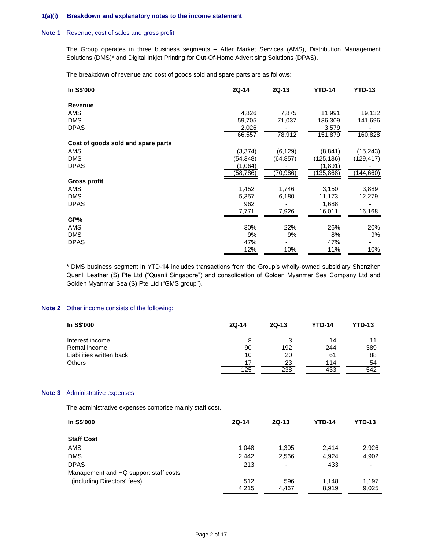#### **1(a)(i) Breakdown and explanatory notes to the income statement**

### **Note 1** Revenue, cost of sales and gross profit

The Group operates in three business segments – After Market Services (AMS), Distribution Management Solutions (DMS)\* and Digital Inkjet Printing for Out-Of-Home Advertising Solutions (DPAS).

The breakdown of revenue and cost of goods sold and spare parts are as follows:

| In S\$'000                         | 2Q-14    | 2Q-13     | <b>YTD-14</b> | <b>YTD-13</b> |
|------------------------------------|----------|-----------|---------------|---------------|
| <b>Revenue</b>                     |          |           |               |               |
| AMS                                | 4,826    | 7,875     | 11,991        | 19,132        |
| <b>DMS</b>                         | 59,705   | 71,037    | 136,309       | 141,696       |
| <b>DPAS</b>                        | 2,026    |           | 3,579         |               |
|                                    | 66,557   | 78,912    | 151,879       | 160,828       |
| Cost of goods sold and spare parts |          |           |               |               |
| AMS                                | (3, 374) | (6, 129)  | (8, 841)      | (15, 243)     |
| <b>DMS</b>                         | (54,348) | (64, 857) | (125, 136)    | (129, 417)    |
| <b>DPAS</b>                        | (1,064)  |           | (1,891)       |               |
|                                    | (58,786) | (70, 986) | (135,868)     | (144, 660)    |
| <b>Gross profit</b>                |          |           |               |               |
| AMS                                | 1,452    | 1,746     | 3,150         | 3,889         |
| <b>DMS</b>                         | 5,357    | 6,180     | 11,173        | 12,279        |
| <b>DPAS</b>                        | 962      |           | 1,688         |               |
|                                    | 7.771    | 7,926     | 16,011        | 16,168        |
| GP%                                |          |           |               |               |
| AMS                                | 30%      | 22%       | 26%           | 20%           |
| <b>DMS</b>                         | 9%       | 9%        | 8%            | 9%            |
| <b>DPAS</b>                        | 47%      |           | 47%           |               |
|                                    | 12%      | 10%       | 11%           | 10%           |

\* DMS business segment in YTD-14 includes transactions from the Group's wholly-owned subsidiary Shenzhen Quanli Leather (S) Pte Ltd ("Quanli Singapore") and consolidation of Golden Myanmar Sea Company Ltd and Golden Myanmar Sea (S) Pte Ltd ("GMS group").

#### **Note 2** Other income consists of the following:

| In S\$'000               | $2Q-14$ | $2Q-13$ | <b>YTD-14</b> | <b>YTD-13</b> |
|--------------------------|---------|---------|---------------|---------------|
| Interest income          | 8       | 3       | 14            | 11            |
| Rental income            | 90      | 192     | 244           | 389           |
| Liabilities written back | 10      | 20      | 61            | 88            |
| <b>Others</b>            | 17      | 23      | 114           | 54            |
|                          | 125     | 238     | 433           | 542           |

## **Note 3** Administrative expenses

The administrative expenses comprise mainly staff cost.

| In S\$'000                            | $2Q-14$ | $2Q-13$ | <b>YTD-14</b> | <b>YTD-13</b> |
|---------------------------------------|---------|---------|---------------|---------------|
| <b>Staff Cost</b>                     |         |         |               |               |
| AMS                                   | 1.048   | 1.305   | 2.414         | 2,926         |
| <b>DMS</b>                            | 2.442   | 2,566   | 4.924         | 4,902         |
| <b>DPAS</b>                           | 213     | -       | 433           |               |
| Management and HQ support staff costs |         |         |               |               |
| (including Directors' fees)           | 512     | 596     | 1,148         | 1,197         |
|                                       | 4,215   | 4.467   | 8,919         | 9,025         |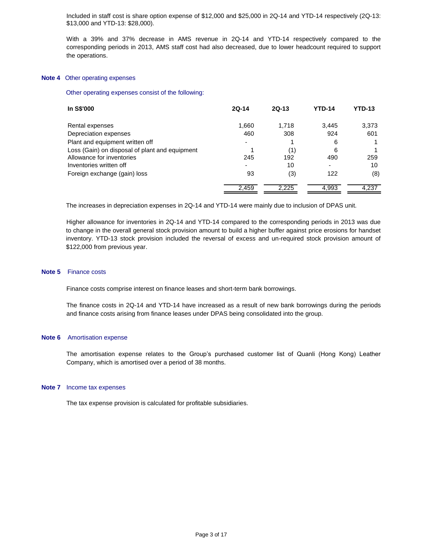Included in staff cost is share option expense of \$12,000 and \$25,000 in 2Q-14 and YTD-14 respectively (2Q-13: \$13,000 and YTD-13: \$28,000).

With a 39% and 37% decrease in AMS revenue in 2Q-14 and YTD-14 respectively compared to the corresponding periods in 2013, AMS staff cost had also decreased, due to lower headcount required to support the operations.

#### **Note 4** Other operating expenses

#### Other operating expenses consist of the following:

| In S\$'000                                     | $2Q-14$                  | $2Q-13$ | <b>YTD-14</b> | <b>YTD-13</b> |
|------------------------------------------------|--------------------------|---------|---------------|---------------|
| Rental expenses                                | 1,660                    | 1,718   | 3.445         | 3,373         |
| Depreciation expenses                          | 460                      | 308     | 924           | 601           |
| Plant and equipment written off                |                          |         | 6             |               |
| Loss (Gain) on disposal of plant and equipment |                          | (1)     | 6             |               |
| Allowance for inventories                      | 245                      | 192     | 490           | 259           |
| Inventories written off                        | $\overline{\phantom{0}}$ | 10      | -             | 10            |
| Foreign exchange (gain) loss                   | 93                       | (3)     | 122           | (8)           |
|                                                | 2,459                    | 2.225   | 4,993         | 4,237         |

The increases in depreciation expenses in 2Q-14 and YTD-14 were mainly due to inclusion of DPAS unit.

Higher allowance for inventories in 2Q-14 and YTD-14 compared to the corresponding periods in 2013 was due to change in the overall general stock provision amount to build a higher buffer against price erosions for handset inventory. YTD-13 stock provision included the reversal of excess and un-required stock provision amount of \$122,000 from previous year.

### **Note 5** Finance costs

Finance costs comprise interest on finance leases and short-term bank borrowings.

The finance costs in 2Q-14 and YTD-14 have increased as a result of new bank borrowings during the periods and finance costs arising from finance leases under DPAS being consolidated into the group.

#### **Note 6** Amortisation expense

The amortisation expense relates to the Group's purchased customer list of Quanli (Hong Kong) Leather Company, which is amortised over a period of 38 months.

#### **Note 7** Income tax expenses

The tax expense provision is calculated for profitable subsidiaries.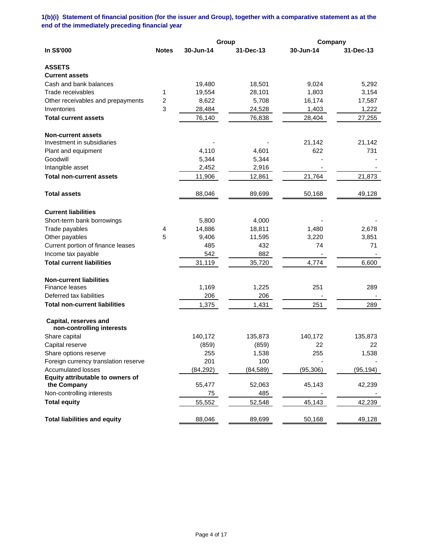# **1(b)(i) Statement of financial position (for the issuer and Group), together with a comparative statement as at the end of the immediately preceding financial year**

|                                                    |              |           | Group     | Company   |           |
|----------------------------------------------------|--------------|-----------|-----------|-----------|-----------|
| In S\$'000                                         | <b>Notes</b> | 30-Jun-14 | 31-Dec-13 | 30-Jun-14 | 31-Dec-13 |
| <b>ASSETS</b>                                      |              |           |           |           |           |
| <b>Current assets</b>                              |              |           |           |           |           |
| Cash and bank balances                             |              | 19,480    | 18,501    | 9,024     | 5,292     |
| Trade receivables                                  | 1            | 19,554    | 28,101    | 1,803     | 3,154     |
| Other receivables and prepayments                  | 2            | 8,622     | 5,708     | 16,174    | 17,587    |
| Inventories                                        | 3            | 28,484    | 24,528    | 1,403     | 1,222     |
| <b>Total current assets</b>                        |              | 76,140    | 76,838    | 28,404    | 27,255    |
| <b>Non-current assets</b>                          |              |           |           |           |           |
| Investment in subsidiaries                         |              |           |           | 21,142    | 21,142    |
| Plant and equipment                                |              | 4,110     | 4,601     | 622       | 731       |
| Goodwill                                           |              | 5,344     | 5,344     |           |           |
| Intangible asset                                   |              | 2,452     | 2,916     |           |           |
| <b>Total non-current assets</b>                    |              | 11,906    | 12,861    | 21,764    | 21,873    |
| <b>Total assets</b>                                |              | 88,046    | 89,699    | 50,168    | 49,128    |
| <b>Current liabilities</b>                         |              |           |           |           |           |
| Short-term bank borrowings                         |              | 5,800     | 4,000     |           |           |
| Trade payables                                     | 4            | 14,886    | 18,811    | 1,480     | 2,678     |
| Other payables                                     | 5            | 9,406     | 11,595    | 3,220     | 3,851     |
| Current portion of finance leases                  |              | 485       | 432       | 74        | 71        |
| Income tax payable                                 |              | 542       | 882       |           |           |
| <b>Total current liabilities</b>                   |              | 31,119    | 35,720    | 4,774     | 6,600     |
| <b>Non-current liabilities</b>                     |              |           |           |           |           |
| Finance leases                                     |              | 1,169     | 1,225     | 251       | 289       |
| Deferred tax liabilities                           |              | 206       | 206       |           |           |
| <b>Total non-current liabilities</b>               |              | 1,375     | 1,431     | 251       | 289       |
| Capital, reserves and<br>non-controlling interests |              |           |           |           |           |
| Share capital                                      |              | 140,172   | 135,873   | 140,172   | 135,873   |
| Capital reserve                                    |              | (859)     | (859)     | 22        | 22        |
| Share options reserve                              |              | 255       | 1,538     | 255       | 1,538     |
| Foreign currency translation reserve               |              | 201       | 100       |           |           |
| <b>Accumulated losses</b>                          |              | (84, 292) | (84, 589) | (95, 306) | (95, 194) |
| Equity attributable to owners of                   |              |           |           |           |           |
| the Company                                        |              | 55,477    | 52,063    | 45,143    | 42,239    |
| Non-controlling interests                          |              | 75        | 485       |           |           |
| <b>Total equity</b>                                |              | 55,552    | 52,548    | 45,143    | 42,239    |
| <b>Total liabilities and equity</b>                |              | 88,046    | 89,699    | 50,168    | 49,128    |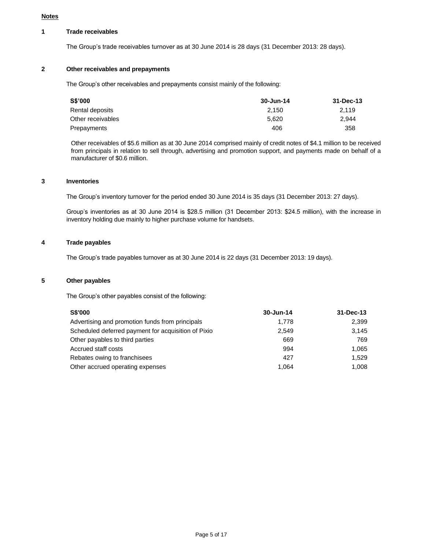### **Notes**

### **1 Trade receivables**

The Group's trade receivables turnover as at 30 June 2014 is 28 days (31 December 2013: 28 days).

# **2 Other receivables and prepayments**

The Group's other receivables and prepayments consist mainly of the following:

| S\$'000           | 30-Jun-14 | 31-Dec-13 |
|-------------------|-----------|-----------|
| Rental deposits   | 2.150     | 2.119     |
| Other receivables | 5.620     | 2.944     |
| Prepayments       | 406       | 358       |

Other receivables of \$5.6 million as at 30 June 2014 comprised mainly of credit notes of \$4.1 million to be received from principals in relation to sell through, advertising and promotion support, and payments made on behalf of a manufacturer of \$0.6 million.

### **3 Inventories**

The Group's inventory turnover for the period ended 30 June 2014 is 35 days (31 December 2013: 27 days).

Group's inventories as at 30 June 2014 is \$28.5 million (31 December 2013: \$24.5 million), with the increase in inventory holding due mainly to higher purchase volume for handsets.

### **4 Trade payables**

The Group's trade payables turnover as at 30 June 2014 is 22 days (31 December 2013: 19 days).

### **5 Other payables**

The Group's other payables consist of the following:

| <b>S\$'000</b>                                      | 30-Jun-14 | $31 - Dec-13$ |
|-----------------------------------------------------|-----------|---------------|
| Advertising and promotion funds from principals     | 1.778     | 2.399         |
| Scheduled deferred payment for acquisition of Pixio | 2,549     | 3.145         |
| Other payables to third parties                     | 669       | 769           |
| Accrued staff costs                                 | 994       | 1.065         |
| Rebates owing to franchisees                        | 427       | 1.529         |
| Other accrued operating expenses                    | 1,064     | 1.008         |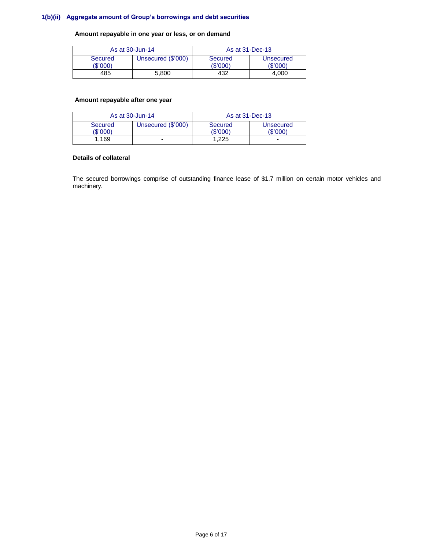# **1(b)(ii) Aggregate amount of Group's borrowings and debt securities**

**Amount repayable in one year or less, or on demand**

| As at 30-Jun-14     |                    | As at 31-Dec-13    |                       |
|---------------------|--------------------|--------------------|-----------------------|
| Secured<br>(\$'000) | Unsecured (\$'000) | Secured<br>(S'000) | Unsecured<br>(\$'000) |
| 485                 | 5.800              | 432                | 4.000                 |

# **Amount repayable after one year**

| As at 30-Jun-14     |                    | As at 31-Dec-13     |                              |
|---------------------|--------------------|---------------------|------------------------------|
| Secured<br>(\$'000) | Unsecured (\$'000) | Secured<br>(\$'000) | <b>Unsecured</b><br>(\$'000) |
| 1.169               | ۰                  | 1.225               | -                            |

### **Details of collateral**

The secured borrowings comprise of outstanding finance lease of \$1.7 million on certain motor vehicles and machinery.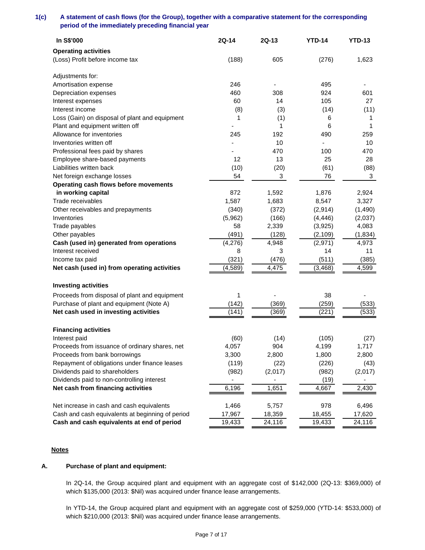**1(c) A statement of cash flows (for the Group), together with a comparative statement for the corresponding period of the immediately preceding financial year**

| In S\$'000                                       | 2Q-14    | 2Q-13   | <b>YTD-14</b>            | <b>YTD-13</b> |
|--------------------------------------------------|----------|---------|--------------------------|---------------|
| <b>Operating activities</b>                      |          |         |                          |               |
| (Loss) Profit before income tax                  | (188)    | 605     | (276)                    | 1,623         |
| Adjustments for:                                 |          |         |                          |               |
| Amortisation expense                             | 246      | -       | 495                      |               |
| Depreciation expenses                            | 460      | 308     | 924                      | 601           |
| Interest expenses                                | 60       | 14      | 105                      | 27            |
| Interest income                                  | (8)      | (3)     | (14)                     | (11)          |
| Loss (Gain) on disposal of plant and equipment   | 1        | (1)     | 6                        | 1             |
| Plant and equipment written off                  |          | 1       | 6                        | 1             |
| Allowance for inventories                        | 245      | 192     | 490                      | 259           |
| Inventories written off                          |          | 10      | $\overline{\phantom{0}}$ | 10            |
| Professional fees paid by shares                 |          | 470     | 100                      | 470           |
| Employee share-based payments                    | 12       | 13      | 25                       | 28            |
| Liabilities written back                         | (10)     | (20)    | (61)                     | (88)          |
| Net foreign exchange losses                      | 54       | 3       | 76                       | 3             |
| Operating cash flows before movements            |          |         |                          |               |
| in working capital                               | 872      | 1,592   | 1,876                    | 2,924         |
| Trade receivables                                | 1,587    | 1,683   | 8,547                    | 3,327         |
| Other receivables and prepayments                | (340)    | (372)   | (2,914)                  | (1,490)       |
| Inventories                                      | (5,962)  | (166)   | (4, 446)                 | (2,037)       |
| Trade payables                                   | 58       | 2,339   | (3,925)                  | 4,083         |
| Other payables                                   | (491)    | (128)   | (2, 109)                 | (1, 834)      |
| Cash (used in) generated from operations         | (4,276)  | 4,948   | (2, 971)                 | 4,973         |
| Interest received                                | 8        | 3       | 14                       | 11            |
| Income tax paid                                  | (321)    | (476)   | (511)                    | (385)         |
| Net cash (used in) from operating activities     | (4, 589) | 4,475   | (3, 468)                 | 4,599         |
| <b>Investing activities</b>                      |          |         |                          |               |
|                                                  |          |         |                          |               |
| Proceeds from disposal of plant and equipment    | 1        |         | 38                       |               |
| Purchase of plant and equipment (Note A)         | (142)    | (369)   | (259)                    | (533)         |
| Net cash used in investing activities            | (141)    | (369)   | (221)                    | (533)         |
| <b>Financing activities</b>                      |          |         |                          |               |
| Interest paid                                    | (60)     | (14)    | (105)                    | (27)          |
| Proceeds from issuance of ordinary shares, net   | 4,057    | 904     | 4,199                    | 1,717         |
| Proceeds from bank borrowings                    | 3,300    | 2,800   | 1,800                    | 2,800         |
| Repayment of obligations under finance leases    | (119)    | (22)    | (226)                    | (43)          |
| Dividends paid to shareholders                   | (982)    | (2,017) | (982)                    | (2,017)       |
| Dividends paid to non-controlling interest       |          |         | (19)                     |               |
| Net cash from financing activities               | 6,196    | 1,651   | 4,667                    | 2,430         |
| Net increase in cash and cash equivalents        | 1,466    | 5,757   | 978                      | 6,496         |
| Cash and cash equivalents at beginning of period | 17,967   | 18,359  | 18,455                   | 17,620        |
| Cash and cash equivalents at end of period       | 19,433   | 24,116  | 19,433                   | 24,116        |

## **Notes**

# **A. Purchase of plant and equipment:**

In 2Q-14, the Group acquired plant and equipment with an aggregate cost of \$142,000 (2Q-13: \$369,000) of which \$135,000 (2013: \$Nil) was acquired under finance lease arrangements.

In YTD-14, the Group acquired plant and equipment with an aggregate cost of \$259,000 (YTD-14: \$533,000) of which \$210,000 (2013: \$Nil) was acquired under finance lease arrangements.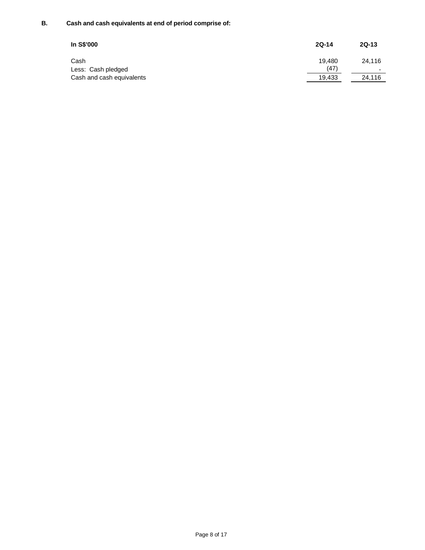# **B. Cash and cash equivalents at end of period comprise of:**

| In S\$'000                 | $2Q-14$        | $2Q-13$     |
|----------------------------|----------------|-------------|
| Cash<br>Less: Cash pledged | 19.480<br>(47) | 24.116<br>- |
| Cash and cash equivalents  | 19.433         | 24.116      |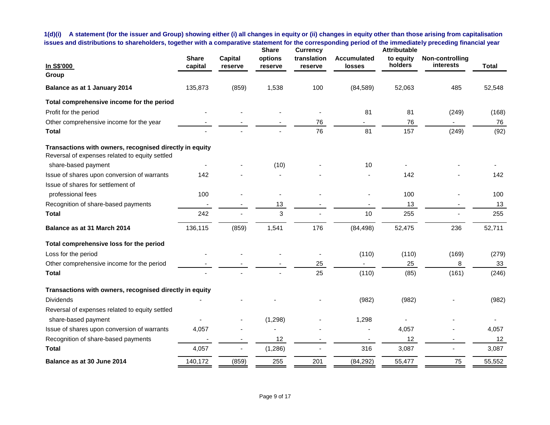**1(d)(i) A statement (for the issuer and Group) showing either (i) all changes in equity or (ii) changes in equity other than those arising from capitalisation issues and distributions to shareholders, together with a comparative statement for the corresponding period of the immediately preceding financial year**

| In S\$'000                                                                                                | <b>Share</b><br>capital | <b>Capital</b><br>reserve | <b>Share</b><br>options<br>reserve | <b>Currency</b><br>translation<br>reserve | <b>Accumulated</b><br>losses | <b>Attributable</b><br>to equity<br>holders | Non-controlling<br>interests | <b>Total</b> |
|-----------------------------------------------------------------------------------------------------------|-------------------------|---------------------------|------------------------------------|-------------------------------------------|------------------------------|---------------------------------------------|------------------------------|--------------|
| Group                                                                                                     |                         |                           |                                    |                                           |                              |                                             |                              |              |
| Balance as at 1 January 2014                                                                              | 135,873                 | (859)                     | 1,538                              | 100                                       | (84, 589)                    | 52,063                                      | 485                          | 52,548       |
| Total comprehensive income for the period                                                                 |                         |                           |                                    |                                           |                              |                                             |                              |              |
| Profit for the period                                                                                     |                         |                           |                                    |                                           | 81                           | 81                                          | (249)                        | (168)        |
| Other comprehensive income for the year                                                                   |                         |                           |                                    | 76                                        |                              | 76                                          |                              | 76           |
| Total                                                                                                     |                         |                           |                                    | 76                                        | 81                           | 157                                         | (249)                        | (92)         |
| Transactions with owners, recognised directly in equity<br>Reversal of expenses related to equity settled |                         |                           |                                    |                                           |                              |                                             |                              |              |
| share-based payment                                                                                       |                         |                           | (10)                               |                                           | 10                           |                                             |                              |              |
| Issue of shares upon conversion of warrants                                                               | 142                     |                           |                                    |                                           |                              | 142                                         |                              | 142          |
| Issue of shares for settlement of                                                                         |                         |                           |                                    |                                           |                              |                                             |                              |              |
| professional fees                                                                                         | 100                     |                           |                                    |                                           |                              | 100                                         |                              | 100          |
| Recognition of share-based payments                                                                       |                         |                           | 13                                 |                                           |                              | 13                                          |                              | 13           |
| Total                                                                                                     | 242                     |                           | 3                                  |                                           | 10                           | 255                                         |                              | 255          |
| Balance as at 31 March 2014                                                                               | 136,115                 | (859)                     | 1,541                              | 176                                       | (84, 498)                    | 52,475                                      | 236                          | 52,711       |
| Total comprehensive loss for the period                                                                   |                         |                           |                                    |                                           |                              |                                             |                              |              |
| Loss for the period                                                                                       |                         |                           |                                    |                                           | (110)                        | (110)                                       | (169)                        | (279)        |
| Other comprehensive income for the period                                                                 |                         |                           |                                    | 25                                        |                              | 25                                          | 8                            | 33           |
| Total                                                                                                     |                         |                           |                                    | 25                                        | (110)                        | (85)                                        | (161)                        | (246)        |
| Transactions with owners, recognised directly in equity                                                   |                         |                           |                                    |                                           |                              |                                             |                              |              |
| <b>Dividends</b>                                                                                          |                         |                           |                                    |                                           | (982)                        | (982)                                       |                              | (982)        |
| Reversal of expenses related to equity settled                                                            |                         |                           |                                    |                                           |                              |                                             |                              |              |
| share-based payment                                                                                       |                         |                           | (1, 298)                           |                                           | 1,298                        |                                             |                              |              |
| Issue of shares upon conversion of warrants                                                               | 4,057                   |                           |                                    |                                           |                              | 4,057                                       |                              | 4,057        |
| Recognition of share-based payments                                                                       |                         |                           | 12                                 |                                           |                              | 12                                          | $\overline{\phantom{a}}$     | 12           |
| Total                                                                                                     | 4,057                   |                           | (1, 286)                           |                                           | 316                          | 3,087                                       |                              | 3,087        |
| Balance as at 30 June 2014                                                                                | 140,172                 | (859)                     | 255                                | 201                                       | (84, 292)                    | 55,477                                      | 75                           | 55,552       |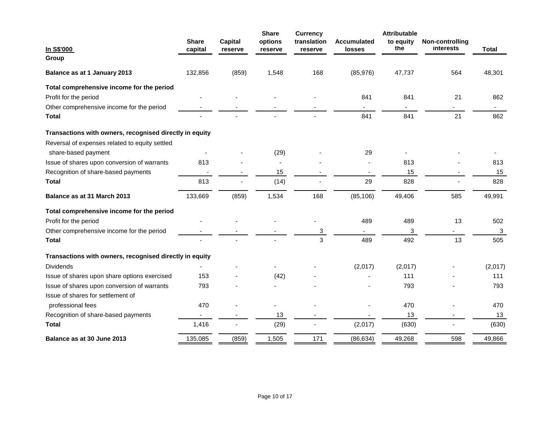| In S\$'000                                              | <b>Share</b><br>capital  | Capital<br>reserve | <b>Share</b><br>options<br>reserve | <b>Currency</b><br>translation<br>reserve | <b>Accumulated</b><br>losses | <b>Attributable</b><br>to equity<br>the | Non-controlling<br>interests | <b>Total</b> |
|---------------------------------------------------------|--------------------------|--------------------|------------------------------------|-------------------------------------------|------------------------------|-----------------------------------------|------------------------------|--------------|
| Group                                                   |                          |                    |                                    |                                           |                              |                                         |                              |              |
| Balance as at 1 January 2013                            | 132,856                  | (859)              | 1,548                              | 168                                       | (85, 976)                    | 47,737                                  | 564                          | 48,301       |
| Total comprehensive income for the period               |                          |                    |                                    |                                           |                              |                                         |                              |              |
| Profit for the period                                   |                          |                    |                                    |                                           | 841                          | 841                                     | 21                           | 862          |
| Other comprehensive income for the period               |                          |                    |                                    |                                           | $\overline{\phantom{a}}$     | $\blacksquare$                          | $\sim$                       | $\sim$       |
| <b>Total</b>                                            |                          |                    |                                    |                                           | 841                          | 841                                     | 21                           | 862          |
| Transactions with owners, recognised directly in equity |                          |                    |                                    |                                           |                              |                                         |                              |              |
| Reversal of expenses related to equity settled          |                          |                    |                                    |                                           |                              |                                         |                              |              |
| share-based payment                                     |                          |                    | (29)                               |                                           | 29                           |                                         |                              |              |
| Issue of shares upon conversion of warrants             | 813                      |                    |                                    |                                           |                              | 813                                     |                              | 813          |
| Recognition of share-based payments                     | $\overline{\phantom{a}}$ |                    | 15                                 | $\overline{\phantom{a}}$                  | $\overline{\phantom{a}}$     | 15                                      |                              | 15           |
| <b>Total</b>                                            | 813                      |                    | (14)                               |                                           | 29                           | 828                                     |                              | 828          |
| Balance as at 31 March 2013                             | 133,669                  | (859)              | 1,534                              | 168                                       | (85, 106)                    | 49,406                                  | 585                          | 49,991       |
| Total comprehensive income for the period               |                          |                    |                                    |                                           |                              |                                         |                              |              |
| Profit for the period                                   |                          |                    |                                    |                                           | 489                          | 489                                     | 13                           | 502          |
| Other comprehensive income for the period               |                          |                    |                                    | 3                                         |                              | 3                                       |                              | 3            |
| <b>Total</b>                                            |                          |                    |                                    | 3                                         | 489                          | 492                                     | 13                           | 505          |
| Transactions with owners, recognised directly in equity |                          |                    |                                    |                                           |                              |                                         |                              |              |
| <b>Dividends</b>                                        |                          |                    |                                    |                                           | (2,017)                      | (2,017)                                 |                              | (2,017)      |
| Issue of shares upon share options exercised            | 153                      |                    | (42)                               |                                           |                              | 111                                     |                              | 111          |
| Issue of shares upon conversion of warrants             | 793                      |                    |                                    |                                           |                              | 793                                     |                              | 793          |
| Issue of shares for settlement of                       |                          |                    |                                    |                                           |                              |                                         |                              |              |
| professional fees                                       | 470                      |                    |                                    |                                           |                              | 470                                     |                              | 470          |
| Recognition of share-based payments                     |                          |                    | 13                                 |                                           |                              | 13                                      |                              | 13           |
| <b>Total</b>                                            | 1,416                    |                    | (29)                               |                                           | (2,017)                      | (630)                                   |                              | (630)        |
| Balance as at 30 June 2013                              | 135,085                  | (859)              | 1,505                              | 171                                       | (86, 634)                    | 49,268                                  | 598                          | 49,866       |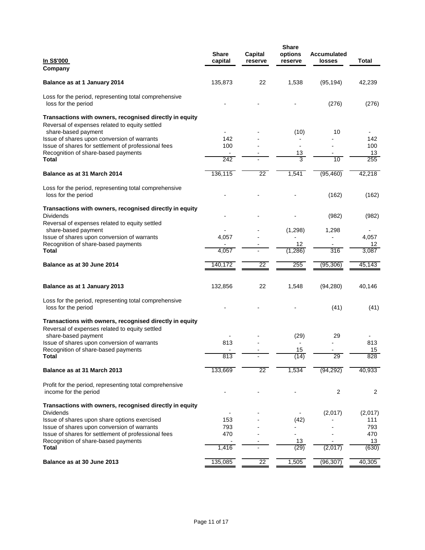| <u>In S\$'000</u><br>Company                                                                              | <b>Share</b><br>capital | Capital<br>reserve | <b>Share</b><br>options<br>reserve | <b>Accumulated</b><br>losses | Total     |
|-----------------------------------------------------------------------------------------------------------|-------------------------|--------------------|------------------------------------|------------------------------|-----------|
| Balance as at 1 January 2014                                                                              | 135,873                 | 22                 | 1,538                              | (95, 194)                    | 42,239    |
| Loss for the period, representing total comprehensive<br>loss for the period                              |                         |                    |                                    | (276)                        | (276)     |
| Transactions with owners, recognised directly in equity<br>Reversal of expenses related to equity settled |                         |                    |                                    |                              |           |
| share-based payment                                                                                       |                         |                    | (10)                               | 10                           |           |
| Issue of shares upon conversion of warrants                                                               | 142                     |                    |                                    |                              | 142       |
| Issue of shares for settlement of professional fees                                                       | 100                     |                    |                                    |                              | 100       |
| Recognition of share-based payments<br>Total                                                              | 242                     |                    | 13<br>3                            | 10                           | 13<br>255 |
|                                                                                                           |                         |                    |                                    |                              |           |
| Balance as at 31 March 2014                                                                               | 136,115                 | 22                 | 1,541                              | (95, 460)                    | 42,218    |
| Loss for the period, representing total comprehensive<br>loss for the period                              |                         |                    |                                    | (162)                        | (162)     |
| Transactions with owners, recognised directly in equity<br><b>Dividends</b>                               |                         |                    |                                    | (982)                        | (982)     |
| Reversal of expenses related to equity settled                                                            |                         |                    |                                    |                              |           |
| share-based payment                                                                                       |                         |                    | (1,298)                            | 1,298                        |           |
| Issue of shares upon conversion of warrants                                                               | 4,057                   |                    |                                    |                              | 4,057     |
| Recognition of share-based payments                                                                       |                         |                    | 12                                 |                              | 12        |
| <b>Total</b>                                                                                              | 4,057                   |                    | (1,286)                            | 316                          | 3,087     |
| Balance as at 30 June 2014                                                                                | 140,172                 | 22                 | 255                                | (95, 306)                    | 45,143    |
| Balance as at 1 January 2013                                                                              | 132,856                 | 22                 | 1,548                              | (94, 280)                    | 40,146    |
| Loss for the period, representing total comprehensive<br>loss for the period                              |                         |                    |                                    | (41)                         | (41)      |
| Transactions with owners, recognised directly in equity<br>Reversal of expenses related to equity settled |                         |                    |                                    |                              |           |
| share-based payment                                                                                       |                         |                    | (29)                               | 29                           |           |
| Issue of shares upon conversion of warrants                                                               | 813                     |                    |                                    |                              | 813       |
| Recognition of share-based payments                                                                       |                         |                    | 15                                 |                              | 15        |
| <b>Total</b>                                                                                              | 813                     |                    | (14)                               | $\overline{29}$              | 828       |
| Balance as at 31 March 2013                                                                               | 133,669                 | $22\overline{ }$   | 1,534                              | (94, 292)                    | 40,933    |
| Profit for the period, representing total comprehensive<br>income for the period                          |                         |                    |                                    | 2                            | 2         |
| Transactions with owners, recognised directly in equity<br><b>Dividends</b>                               |                         |                    |                                    | (2,017)                      | (2,017)   |
| Issue of shares upon share options exercised                                                              | 153                     |                    | (42)                               |                              | 111       |
| Issue of shares upon conversion of warrants                                                               | 793                     |                    |                                    |                              | 793       |
| Issue of shares for settlement of professional fees                                                       | 470                     |                    |                                    |                              | 470       |
| Recognition of share-based payments                                                                       |                         |                    | 13                                 |                              | 13        |
| <b>Total</b>                                                                                              | 1,416                   |                    | (29)                               | (2,017)                      | (630)     |
| Balance as at 30 June 2013                                                                                | 135,085                 | $\overline{22}$    | 1,505                              | (96, 307)                    | 40,305    |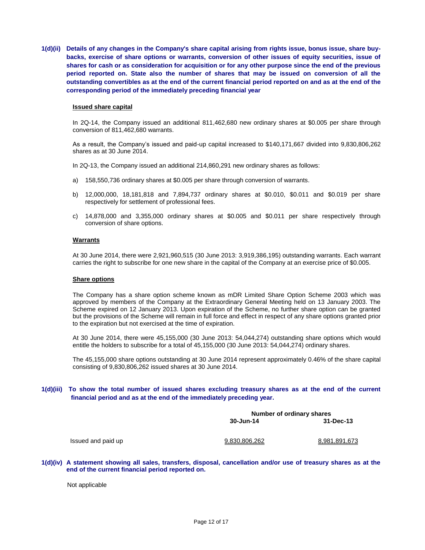**1(d)(ii) Details of any changes in the Company's share capital arising from rights issue, bonus issue, share buybacks, exercise of share options or warrants, conversion of other issues of equity securities, issue of shares for cash or as consideration for acquisition or for any other purpose since the end of the previous period reported on. State also the number of shares that may be issued on conversion of all the outstanding convertibles as at the end of the current financial period reported on and as at the end of the corresponding period of the immediately preceding financial year**

#### **Issued share capital**

In 2Q-14, the Company issued an additional 811,462,680 new ordinary shares at \$0.005 per share through conversion of 811,462,680 warrants.

As a result, the Company's issued and paid-up capital increased to \$140,171,667 divided into 9,830,806,262 shares as at 30 June 2014.

In 2Q-13, the Company issued an additional 214,860,291 new ordinary shares as follows:

- a) 158,550,736 ordinary shares at \$0.005 per share through conversion of warrants.
- b) 12,000,000, 18,181,818 and 7,894,737 ordinary shares at \$0.010, \$0.011 and \$0.019 per share respectively for settlement of professional fees.
- c) 14,878,000 and 3,355,000 ordinary shares at \$0.005 and \$0.011 per share respectively through conversion of share options.

### **Warrants**

At 30 June 2014, there were 2,921,960,515 (30 June 2013: 3,919,386,195) outstanding warrants. Each warrant carries the right to subscribe for one new share in the capital of the Company at an exercise price of \$0.005.

#### **Share options**

The Company has a share option scheme known as mDR Limited Share Option Scheme 2003 which was approved by members of the Company at the Extraordinary General Meeting held on 13 January 2003. The Scheme expired on 12 January 2013. Upon expiration of the Scheme, no further share option can be granted but the provisions of the Scheme will remain in full force and effect in respect of any share options granted prior to the expiration but not exercised at the time of expiration.

At 30 June 2014, there were 45,155,000 (30 June 2013: 54,044,274) outstanding share options which would entitle the holders to subscribe for a total of 45,155,000 (30 June 2013: 54,044,274) ordinary shares.

The 45,155,000 share options outstanding at 30 June 2014 represent approximately 0.46% of the share capital consisting of 9,830,806,262 issued shares at 30 June 2014.

### **1(d)(iii) To show the total number of issued shares excluding treasury shares as at the end of the current financial period and as at the end of the immediately preceding year.**

|               | Number of ordinary shares |  |  |  |  |
|---------------|---------------------------|--|--|--|--|
| 30-Jun-14     | 31-Dec-13                 |  |  |  |  |
|               |                           |  |  |  |  |
|               |                           |  |  |  |  |
|               |                           |  |  |  |  |
|               |                           |  |  |  |  |
| 9.830.806.262 | 8.981.891.673             |  |  |  |  |

**1(d)(iv) A statement showing all sales, transfers, disposal, cancellation and/or use of treasury shares as at the end of the current financial period reported on.**

Not applicable

Issued and paid up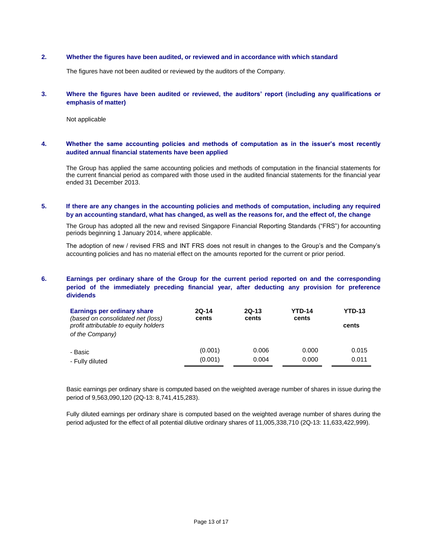### **2. Whether the figures have been audited, or reviewed and in accordance with which standard**

The figures have not been audited or reviewed by the auditors of the Company.

### **3. Where the figures have been audited or reviewed, the auditors' report (including any qualifications or emphasis of matter)**

Not applicable

### **4. Whether the same accounting policies and methods of computation as in the issuer's most recently audited annual financial statements have been applied**

The Group has applied the same accounting policies and methods of computation in the financial statements for the current financial period as compared with those used in the audited financial statements for the financial year ended 31 December 2013.

# **5. If there are any changes in the accounting policies and methods of computation, including any required by an accounting standard, what has changed, as well as the reasons for, and the effect of, the change**

The Group has adopted all the new and revised Singapore Financial Reporting Standards ("FRS") for accounting periods beginning 1 January 2014, where applicable.

The adoption of new / revised FRS and INT FRS does not result in changes to the Group's and the Company's accounting policies and has no material effect on the amounts reported for the current or prior period.

# **6. Earnings per ordinary share of the Group for the current period reported on and the corresponding period of the immediately preceding financial year, after deducting any provision for preference dividends**

| Earnings per ordinary share<br>(based on consolidated net (loss)<br>profit attributable to equity holders<br>of the Company) | $2Q-14$<br>cents | $2Q-13$<br>cents | <b>YTD-14</b><br>cents | <b>YTD-13</b><br>cents |
|------------------------------------------------------------------------------------------------------------------------------|------------------|------------------|------------------------|------------------------|
| - Basic                                                                                                                      | (0.001)          | 0.006            | 0.000                  | 0.015                  |
| - Fully diluted                                                                                                              | (0.001)          | 0.004            | 0.000                  | 0.011                  |

Basic earnings per ordinary share is computed based on the weighted average number of shares in issue during the period of 9,563,090,120 (2Q-13: 8,741,415,283).

Fully diluted earnings per ordinary share is computed based on the weighted average number of shares during the period adjusted for the effect of all potential dilutive ordinary shares of 11,005,338,710 (2Q-13: 11,633,422,999).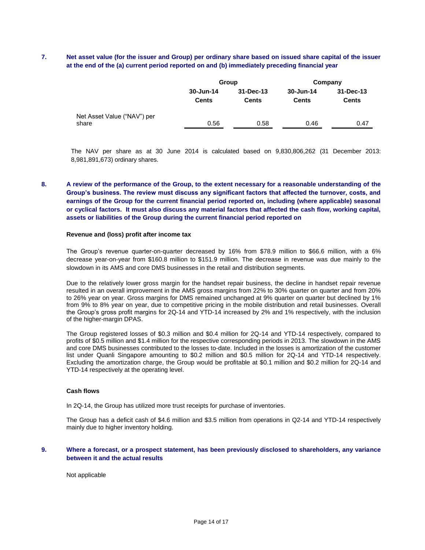# **7. Net asset value (for the issuer and Group) per ordinary share based on issued share capital of the issuer at the end of the (a) current period reported on and (b) immediately preceding financial year**

|                             |              | Group        | Company      |              |  |
|-----------------------------|--------------|--------------|--------------|--------------|--|
|                             | 30-Jun-14    | 31-Dec-13    | 30-Jun-14    | 31-Dec-13    |  |
|                             | <b>Cents</b> | <b>Cents</b> | <b>Cents</b> | <b>Cents</b> |  |
| Net Asset Value ("NAV") per |              |              |              |              |  |
| share                       | 0.56         | 0.58         | 0.46         | 0.47         |  |

The NAV per share as at 30 June 2014 is calculated based on 9,830,806,262 (31 December 2013: 8,981,891,673) ordinary shares.

# **8. A review of the performance of the Group, to the extent necessary for a reasonable understanding of the Group's business. The review must discuss any significant factors that affected the turnover, costs, and earnings of the Group for the current financial period reported on, including (where applicable) seasonal or cyclical factors. It must also discuss any material factors that affected the cash flow, working capital, assets or liabilities of the Group during the current financial period reported on**

#### **Revenue and (loss) profit after income tax**

The Group's revenue quarter-on-quarter decreased by 16% from \$78.9 million to \$66.6 million, with a 6% decrease year-on-year from \$160.8 million to \$151.9 million. The decrease in revenue was due mainly to the slowdown in its AMS and core DMS businesses in the retail and distribution segments.

Due to the relatively lower gross margin for the handset repair business, the decline in handset repair revenue resulted in an overall improvement in the AMS gross margins from 22% to 30% quarter on quarter and from 20% to 26% year on year. Gross margins for DMS remained unchanged at 9% quarter on quarter but declined by 1% from 9% to 8% year on year, due to competitive pricing in the mobile distribution and retail businesses. Overall the Group's gross profit margins for 2Q-14 and YTD-14 increased by 2% and 1% respectively, with the inclusion of the higher-margin DPAS.

The Group registered losses of \$0.3 million and \$0.4 million for 2Q-14 and YTD-14 respectively, compared to profits of \$0.5 million and \$1.4 million for the respective corresponding periods in 2013. The slowdown in the AMS and core DMS businesses contributed to the losses to-date. Included in the losses is amortization of the customer list under Quanli Singapore amounting to \$0.2 million and \$0.5 million for 2Q-14 and YTD-14 respectively. Excluding the amortization charge, the Group would be profitable at \$0.1 million and \$0.2 million for 2Q-14 and YTD-14 respectively at the operating level.

#### **Cash flows**

In 2Q-14, the Group has utilized more trust receipts for purchase of inventories.

The Group has a deficit cash of \$4.6 million and \$3.5 million from operations in Q2-14 and YTD-14 respectively mainly due to higher inventory holding.

### **9. Where a forecast, or a prospect statement, has been previously disclosed to shareholders, any variance between it and the actual results**

Not applicable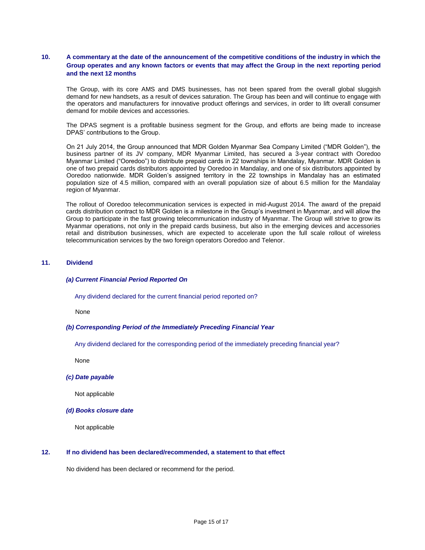# **10. A commentary at the date of the announcement of the competitive conditions of the industry in which the Group operates and any known factors or events that may affect the Group in the next reporting period and the next 12 months**

The Group, with its core AMS and DMS businesses, has not been spared from the overall global sluggish demand for new handsets, as a result of devices saturation. The Group has been and will continue to engage with the operators and manufacturers for innovative product offerings and services, in order to lift overall consumer demand for mobile devices and accessories.

The DPAS segment is a profitable business segment for the Group, and efforts are being made to increase DPAS' contributions to the Group.

On 21 July 2014, the Group announced that MDR Golden Myanmar Sea Company Limited ("MDR Golden"), the business partner of its JV company, MDR Myanmar Limited, has secured a 3-year contract with Ooredoo Myanmar Limited ("Ooredoo") to distribute prepaid cards in 22 townships in Mandalay, Myanmar. MDR Golden is one of two prepaid cards distributors appointed by Ooredoo in Mandalay, and one of six distributors appointed by Ooredoo nationwide. MDR Golden's assigned territory in the 22 townships in Mandalay has an estimated population size of 4.5 million, compared with an overall population size of about 6.5 million for the Mandalay region of Myanmar.

The rollout of Ooredoo telecommunication services is expected in mid-August 2014. The award of the prepaid cards distribution contract to MDR Golden is a milestone in the Group's investment in Myanmar, and will allow the Group to participate in the fast growing telecommunication industry of Myanmar. The Group will strive to grow its Myanmar operations, not only in the prepaid cards business, but also in the emerging devices and accessories retail and distribution businesses, which are expected to accelerate upon the full scale rollout of wireless telecommunication services by the two foreign operators Ooredoo and Telenor.

### **11. Dividend**

#### *(a) Current Financial Period Reported On*

Any dividend declared for the current financial period reported on?

None

#### *(b) Corresponding Period of the Immediately Preceding Financial Year*

Any dividend declared for the corresponding period of the immediately preceding financial year?

None

### *(c) Date payable*

Not applicable

### *(d) Books closure date*

Not applicable

### **12. If no dividend has been declared/recommended, a statement to that effect**

No dividend has been declared or recommend for the period.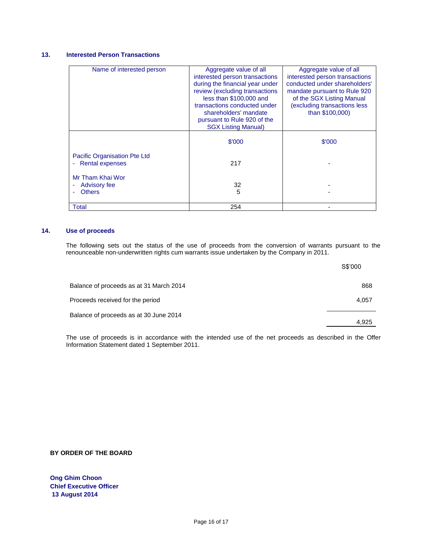# **13. Interested Person Transactions**

| Name of interested person    | Aggregate value of all          | Aggregate value of all         |
|------------------------------|---------------------------------|--------------------------------|
|                              | interested person transactions  | interested person transactions |
|                              | during the financial year under | conducted under shareholders'  |
|                              | review (excluding transactions  | mandate pursuant to Rule 920   |
|                              | less than \$100,000 and         | of the SGX Listing Manual      |
|                              | transactions conducted under    | (excluding transactions less   |
|                              | shareholders' mandate           | than \$100,000)                |
|                              | pursuant to Rule 920 of the     |                                |
|                              | <b>SGX Listing Manual)</b>      |                                |
|                              |                                 |                                |
|                              | \$'000                          |                                |
|                              |                                 | \$'000                         |
| Pacific Organisation Pte Ltd |                                 |                                |
|                              |                                 |                                |
| <b>Rental expenses</b><br>٠  | 217                             |                                |
| Mr Tham Khai Wor             |                                 |                                |
|                              |                                 |                                |
| Advisory fee                 | 32                              |                                |
| <b>Others</b>                | 5                               |                                |
|                              |                                 |                                |
| Total                        | 254                             |                                |

# **14. Use of proceeds**

The following sets out the status of the use of proceeds from the conversion of warrants pursuant to the renounceable non-underwritten rights cum warrants issue undertaken by the Company in 2011.

|                                         | S\$'000 |
|-----------------------------------------|---------|
| Balance of proceeds as at 31 March 2014 | 868     |
| Proceeds received for the period        | 4.057   |
| Balance of proceeds as at 30 June 2014  | 4.925   |

The use of proceeds is in accordance with the intended use of the net proceeds as described in the Offer Information Statement dated 1 September 2011.

**BY ORDER OF THE BOARD**

**Ong Ghim Choon Chief Executive Officer 13 August 2014**